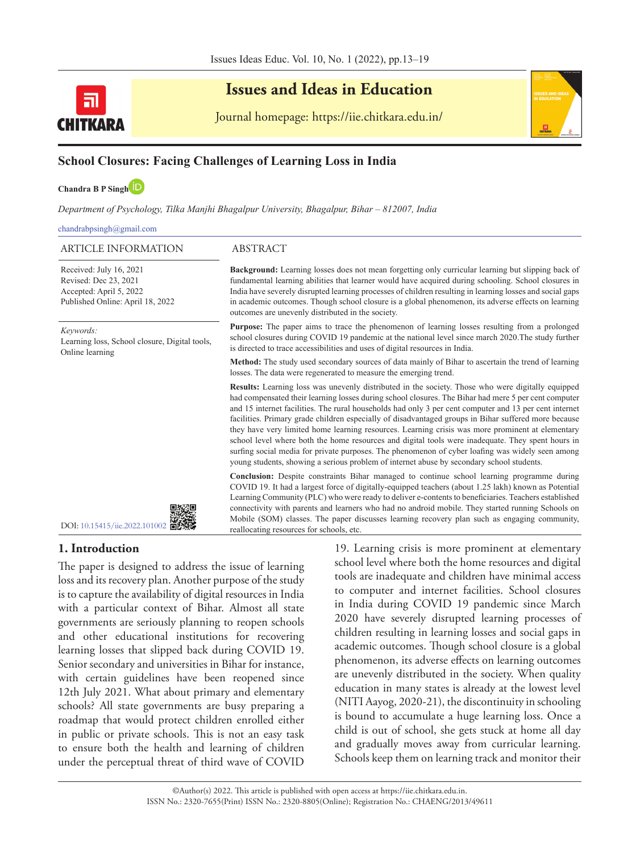

# **Issues and Ideas in Education**

Journal homepage: https://iie.chitkara.edu.in/



**Chandra B P Sing[h](https://orcid.org/0000-0001-6851-5324)**

*Department of Psychology, Tilka Manjhi Bhagalpur University, Bhagalpur, Bihar – 812007, India* 

chandrabpsingh@gmail.com

#### ARTICLE INFORMATION ABSTRACT

Received: July 16, 2021 Revised: Dec 23, 2021 Accepted: April 5, 2022 Published Online: April 18, 2022

*Keywords:*

Learning loss, School closure, Digital tools, Online learning



### **1. Introduction**

The paper is designed to address the issue of learning loss and its recovery plan. Another purpose of the study is to capture the availability of digital resources in India with a particular context of Bihar. Almost all state governments are seriously planning to reopen schools and other educational institutions for recovering learning losses that slipped back during COVID 19. Senior secondary and universities in Bihar for instance, with certain guidelines have been reopened since 12th July 2021. What about primary and elementary schools? All state governments are busy preparing a roadmap that would protect children enrolled either in public or private schools. This is not an easy task to ensure both the health and learning of children under the perceptual threat of third wave of COVID

19. Learning crisis is more prominent at elementary school level where both the home resources and digital tools are inadequate and children have minimal access to computer and internet facilities. School closures in India during COVID 19 pandemic since March 2020 have severely disrupted learning processes of children resulting in learning losses and social gaps in academic outcomes. Though school closure is a global phenomenon, its adverse effects on learning outcomes are unevenly distributed in the society. When quality education in many states is already at the lowest level (NITI Aayog, 2020-21), the discontinuity in schooling is bound to accumulate a huge learning loss. Once a child is out of school, she gets stuck at home all day and gradually moves away from curricular learning. Schools keep them on learning track and monitor their



**Background:** Learning losses does not mean forgetting only curricular learning but slipping back of fundamental learning abilities that learner would have acquired during schooling. School closures in India have severely disrupted learning processes of children resulting in learning losses and social gaps in academic outcomes. Though school closure is a global phenomenon, its adverse effects on learning outcomes are unevenly distributed in the society.

**Purpose:** The paper aims to trace the phenomenon of learning losses resulting from a prolonged school closures during COVID 19 pandemic at the national level since march 2020.The study further is directed to trace accessibilities and uses of digital resources in India.

**Method:** The study used secondary sources of data mainly of Bihar to ascertain the trend of learning losses. The data were regenerated to measure the emerging trend.

**Results:** Learning loss was unevenly distributed in the society. Those who were digitally equipped had compensated their learning losses during school closures. The Bihar had mere 5 per cent computer and 15 internet facilities. The rural households had only 3 per cent computer and 13 per cent internet facilities. Primary grade children especially of disadvantaged groups in Bihar suffered more because they have very limited home learning resources. Learning crisis was more prominent at elementary school level where both the home resources and digital tools were inadequate. They spent hours in surfing social media for private purposes. The phenomenon of cyber loafing was widely seen among young students, showing a serious problem of internet abuse by secondary school students.

**Conclusion:** Despite constraints Bihar managed to continue school learning programme during COVID 19. It had a largest force of digitally-equipped teachers (about 1.25 lakh) known as Potential Learning Community (PLC) who were ready to deliver e-contents to beneficiaries. Teachers established connectivity with parents and learners who had no android mobile. They started running Schools on Mobile (SOM) classes. The paper discusses learning recovery plan such as engaging community, reallocating resources for schools, etc.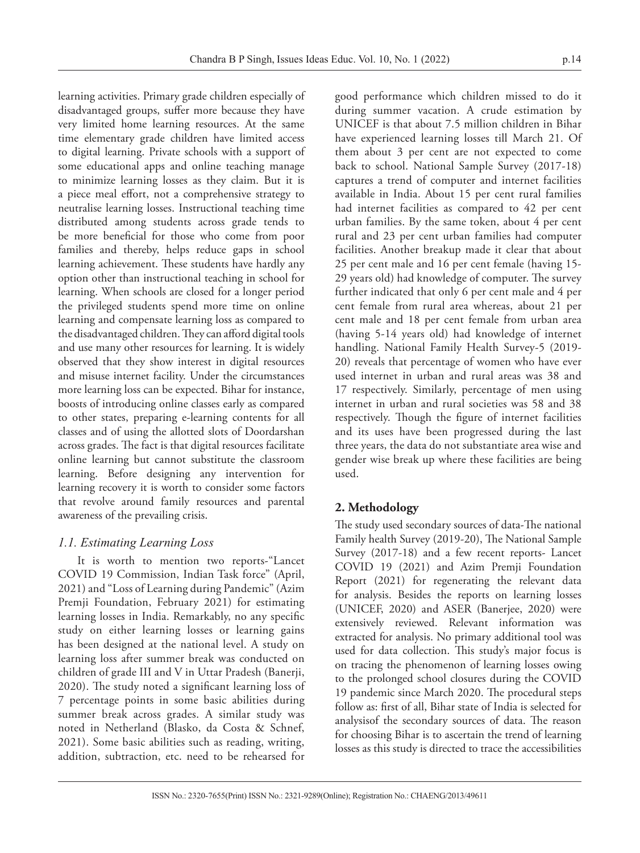learning activities. Primary grade children especially of disadvantaged groups, suffer more because they have very limited home learning resources. At the same time elementary grade children have limited access to digital learning. Private schools with a support of some educational apps and online teaching manage to minimize learning losses as they claim. But it is a piece meal effort, not a comprehensive strategy to neutralise learning losses. Instructional teaching time distributed among students across grade tends to be more beneficial for those who come from poor families and thereby, helps reduce gaps in school learning achievement. These students have hardly any option other than instructional teaching in school for learning. When schools are closed for a longer period the privileged students spend more time on online learning and compensate learning loss as compared to the disadvantaged children. They can afford digital tools and use many other resources for learning. It is widely observed that they show interest in digital resources and misuse internet facility. Under the circumstances more learning loss can be expected. Bihar for instance, boosts of introducing online classes early as compared to other states, preparing e-learning contents for all classes and of using the allotted slots of Doordarshan across grades. The fact is that digital resources facilitate online learning but cannot substitute the classroom learning. Before designing any intervention for learning recovery it is worth to consider some factors that revolve around family resources and parental awareness of the prevailing crisis.

### *1.1. Estimating Learning Loss*

It is worth to mention two reports-"Lancet COVID 19 Commission, Indian Task force" (April, 2021) and "Loss of Learning during Pandemic" (Azim Premji Foundation, February 2021) for estimating learning losses in India. Remarkably, no any specific study on either learning losses or learning gains has been designed at the national level. A study on learning loss after summer break was conducted on children of grade III and V in Uttar Pradesh (Banerji, 2020). The study noted a significant learning loss of 7 percentage points in some basic abilities during summer break across grades. A similar study was noted in Netherland (Blasko, da Costa & Schnef, 2021). Some basic abilities such as reading, writing, addition, subtraction, etc. need to be rehearsed for

good performance which children missed to do it during summer vacation. A crude estimation by UNICEF is that about 7.5 million children in Bihar have experienced learning losses till March 21. Of them about 3 per cent are not expected to come back to school. National Sample Survey (2017-18) captures a trend of computer and internet facilities available in India. About 15 per cent rural families had internet facilities as compared to 42 per cent urban families. By the same token, about 4 per cent rural and 23 per cent urban families had computer facilities. Another breakup made it clear that about 25 per cent male and 16 per cent female (having 15- 29 years old) had knowledge of computer. The survey further indicated that only 6 per cent male and 4 per cent female from rural area whereas, about 21 per cent male and 18 per cent female from urban area (having 5-14 years old) had knowledge of internet handling. National Family Health Survey-5 (2019- 20) reveals that percentage of women who have ever used internet in urban and rural areas was 38 and 17 respectively. Similarly, percentage of men using internet in urban and rural societies was 58 and 38 respectively. Though the figure of internet facilities and its uses have been progressed during the last three years, the data do not substantiate area wise and gender wise break up where these facilities are being used.

### **2. Methodology**

The study used secondary sources of data-The national Family health Survey (2019-20), The National Sample Survey (2017-18) and a few recent reports- Lancet COVID 19 (2021) and Azim Premji Foundation Report (2021) for regenerating the relevant data for analysis. Besides the reports on learning losses (UNICEF, 2020) and ASER (Banerjee, 2020) were extensively reviewed. Relevant information was extracted for analysis. No primary additional tool was used for data collection. This study's major focus is on tracing the phenomenon of learning losses owing to the prolonged school closures during the COVID 19 pandemic since March 2020. The procedural steps follow as: first of all, Bihar state of India is selected for analysisof the secondary sources of data. The reason for choosing Bihar is to ascertain the trend of learning losses as this study is directed to trace the accessibilities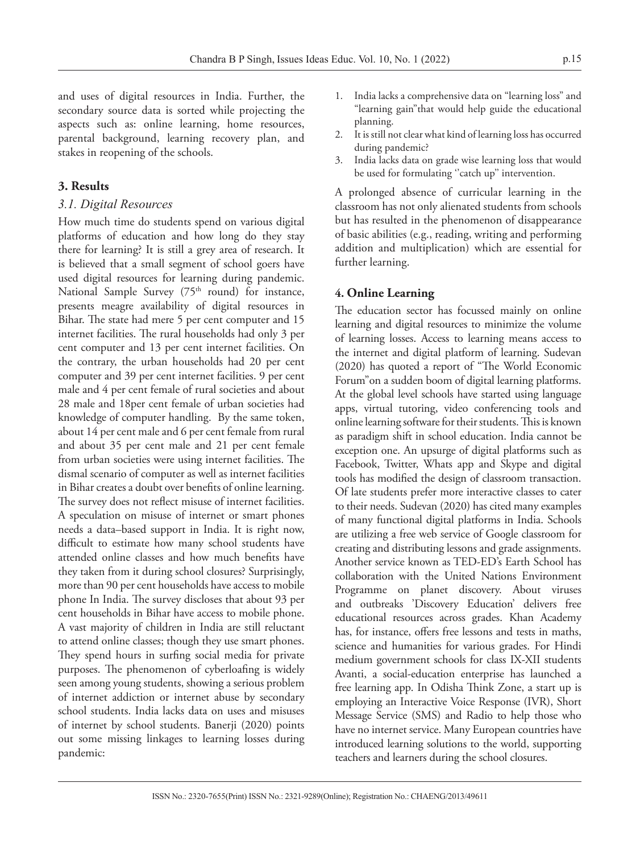and uses of digital resources in India. Further, the secondary source data is sorted while projecting the aspects such as: online learning, home resources, parental background, learning recovery plan, and stakes in reopening of the schools.

#### **3. Results**

#### *3.1. Digital Resources*

How much time do students spend on various digital platforms of education and how long do they stay there for learning? It is still a grey area of research. It is believed that a small segment of school goers have used digital resources for learning during pandemic. National Sample Survey (75<sup>th</sup> round) for instance, presents meagre availability of digital resources in Bihar. The state had mere 5 per cent computer and 15 internet facilities. The rural households had only 3 per cent computer and 13 per cent internet facilities. On the contrary, the urban households had 20 per cent computer and 39 per cent internet facilities. 9 per cent male and 4 per cent female of rural societies and about 28 male and 18per cent female of urban societies had knowledge of computer handling. By the same token, about 14 per cent male and 6 per cent female from rural and about 35 per cent male and 21 per cent female from urban societies were using internet facilities. The dismal scenario of computer as well as internet facilities in Bihar creates a doubt over benefits of online learning. The survey does not reflect misuse of internet facilities. A speculation on misuse of internet or smart phones needs a data–based support in India. It is right now, difficult to estimate how many school students have attended online classes and how much benefits have they taken from it during school closures? Surprisingly, more than 90 per cent households have access to mobile phone In India. The survey discloses that about 93 per cent households in Bihar have access to mobile phone. A vast majority of children in India are still reluctant to attend online classes; though they use smart phones. They spend hours in surfing social media for private purposes. The phenomenon of cyberloafing is widely seen among young students, showing a serious problem of internet addiction or internet abuse by secondary school students. India lacks data on uses and misuses of internet by school students. Banerji (2020) points out some missing linkages to learning losses during pandemic:

- 1. India lacks a comprehensive data on "learning loss" and "learning gain"that would help guide the educational planning.
- 2. It is still not clear what kind of learning loss has occurred during pandemic?
- 3. India lacks data on grade wise learning loss that would be used for formulating "catch up" intervention.

A prolonged absence of curricular learning in the classroom has not only alienated students from schools but has resulted in the phenomenon of disappearance of basic abilities (e.g., reading, writing and performing addition and multiplication) which are essential for further learning.

#### **4. Online Learning**

The education sector has focussed mainly on online learning and digital resources to minimize the volume of learning losses. Access to learning means access to the internet and digital platform of learning. Sudevan (2020) has quoted a report of "The World Economic Forum"on a sudden boom of digital learning platforms. At the global level schools have started using language apps, virtual tutoring, video conferencing tools and online learning software for their students. This is known as paradigm shift in school education. India cannot be exception one. An upsurge of digital platforms such as Facebook, Twitter, Whats app and Skype and digital tools has modified the design of classroom transaction. Of late students prefer more interactive classes to cater to their needs. Sudevan (2020) has cited many examples of many functional digital platforms in India. Schools are utilizing a free web service of Google classroom for creating and distributing lessons and grade assignments. Another service known as TED-ED's Earth School has collaboration with the United Nations Environment Programme on planet discovery. About viruses and outbreaks 'Discovery Education' delivers free educational resources across grades. Khan Academy has, for instance, offers free lessons and tests in maths, science and humanities for various grades. For Hindi medium government schools for class IX-XII students Avanti, a social-education enterprise has launched a free learning app. In Odisha Think Zone, a start up is employing an Interactive Voice Response (IVR), Short Message Service (SMS) and Radio to help those who have no internet service. Many European countries have introduced learning solutions to the world, supporting teachers and learners during the school closures.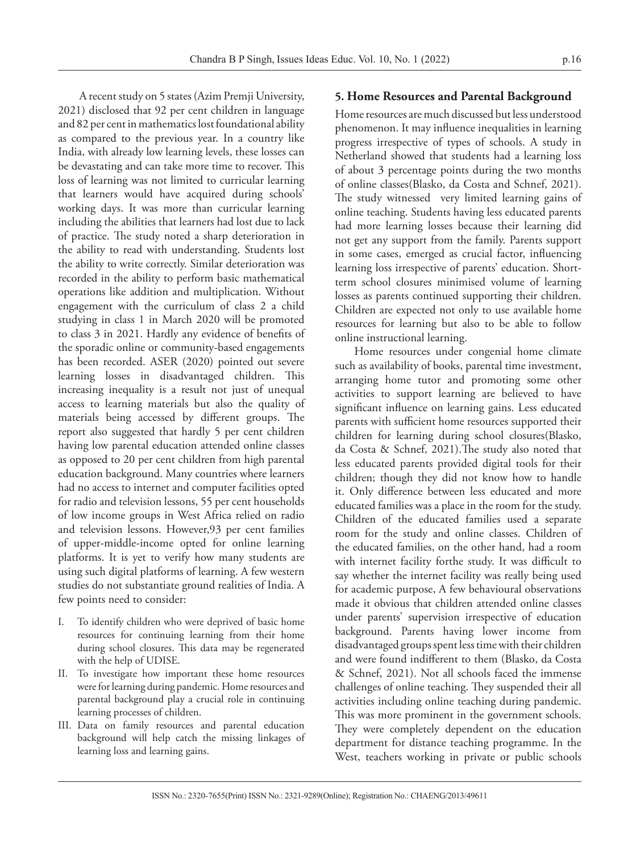A recent study on 5 states (Azim Premji University, 2021) disclosed that 92 per cent children in language and 82 per cent in mathematics lost foundational ability as compared to the previous year. In a country like India, with already low learning levels, these losses can be devastating and can take more time to recover. This loss of learning was not limited to curricular learning that learners would have acquired during schools' working days. It was more than curricular learning including the abilities that learners had lost due to lack of practice. The study noted a sharp deterioration in the ability to read with understanding. Students lost the ability to write correctly. Similar deterioration was recorded in the ability to perform basic mathematical operations like addition and multiplication. Without engagement with the curriculum of class 2 a child studying in class 1 in March 2020 will be promoted to class 3 in 2021. Hardly any evidence of benefits of the sporadic online or community-based engagements has been recorded. ASER (2020) pointed out severe learning losses in disadvantaged children. This increasing inequality is a result not just of unequal access to learning materials but also the quality of materials being accessed by different groups. The report also suggested that hardly 5 per cent children having low parental education attended online classes as opposed to 20 per cent children from high parental education background. Many countries where learners had no access to internet and computer facilities opted for radio and television lessons, 55 per cent households of low income groups in West Africa relied on radio and television lessons. However,93 per cent families of upper-middle-income opted for online learning platforms. It is yet to verify how many students are using such digital platforms of learning. A few western studies do not substantiate ground realities of India. A few points need to consider:

- I. To identify children who were deprived of basic home resources for continuing learning from their home during school closures. This data may be regenerated with the help of UDISE.
- To investigate how important these home resources were for learning during pandemic. Home resources and parental background play a crucial role in continuing learning processes of children.
- III. Data on family resources and parental education background will help catch the missing linkages of learning loss and learning gains.

### **5. Home Resources and Parental Background**

Home resources are much discussed but less understood phenomenon. It may influence inequalities in learning progress irrespective of types of schools. A study in Netherland showed that students had a learning loss of about 3 percentage points during the two months of online classes(Blasko, da Costa and Schnef, 2021). The study witnessed very limited learning gains of online teaching. Students having less educated parents had more learning losses because their learning did not get any support from the family. Parents support in some cases, emerged as crucial factor, influencing learning loss irrespective of parents' education. Shortterm school closures minimised volume of learning losses as parents continued supporting their children. Children are expected not only to use available home resources for learning but also to be able to follow online instructional learning.

Home resources under congenial home climate such as availability of books, parental time investment, arranging home tutor and promoting some other activities to support learning are believed to have significant influence on learning gains. Less educated parents with sufficient home resources supported their children for learning during school closures(Blasko, da Costa & Schnef, 2021).The study also noted that less educated parents provided digital tools for their children; though they did not know how to handle it. Only difference between less educated and more educated families was a place in the room for the study. Children of the educated families used a separate room for the study and online classes. Children of the educated families, on the other hand, had a room with internet facility forthe study. It was difficult to say whether the internet facility was really being used for academic purpose, A few behavioural observations made it obvious that children attended online classes under parents' supervision irrespective of education background. Parents having lower income from disadvantaged groups spent less time with their children and were found indifferent to them (Blasko, da Costa & Schnef, 2021). Not all schools faced the immense challenges of online teaching. They suspended their all activities including online teaching during pandemic. This was more prominent in the government schools. They were completely dependent on the education department for distance teaching programme. In the West, teachers working in private or public schools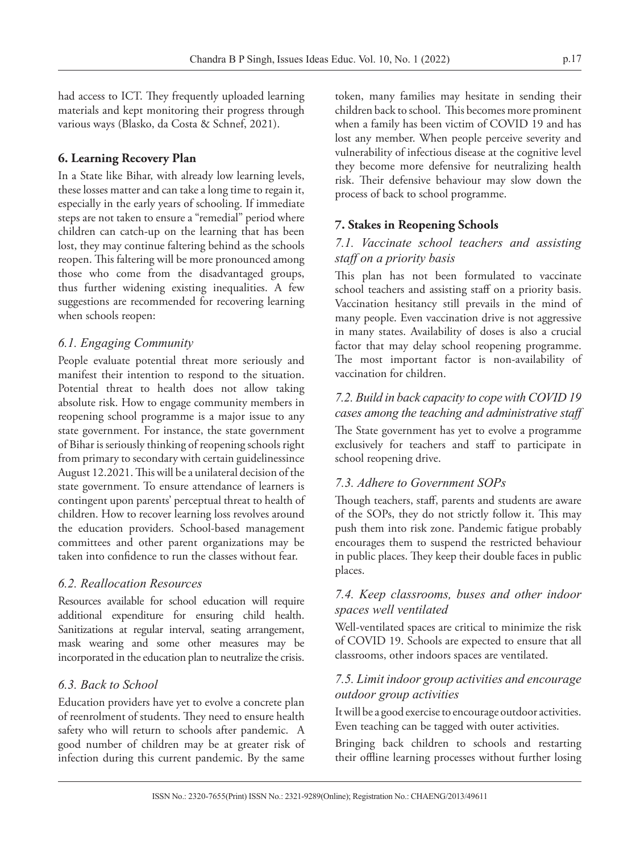had access to ICT. They frequently uploaded learning materials and kept monitoring their progress through various ways (Blasko, da Costa & Schnef, 2021).

# **6. Learning Recovery Plan**

In a State like Bihar, with already low learning levels, these losses matter and can take a long time to regain it, especially in the early years of schooling. If immediate steps are not taken to ensure a "remedial" period where children can catch-up on the learning that has been lost, they may continue faltering behind as the schools reopen. This faltering will be more pronounced among those who come from the disadvantaged groups, thus further widening existing inequalities. A few suggestions are recommended for recovering learning when schools reopen:

# *6.1. Engaging Community*

People evaluate potential threat more seriously and manifest their intention to respond to the situation. Potential threat to health does not allow taking absolute risk. How to engage community members in reopening school programme is a major issue to any state government. For instance, the state government of Bihar is seriously thinking of reopening schools right from primary to secondary with certain guidelinessince August 12.2021. This will be a unilateral decision of the state government. To ensure attendance of learners is contingent upon parents' perceptual threat to health of children. How to recover learning loss revolves around the education providers. School-based management committees and other parent organizations may be taken into confidence to run the classes without fear.

# *6.2. Reallocation Resources*

Resources available for school education will require additional expenditure for ensuring child health. Sanitizations at regular interval, seating arrangement, mask wearing and some other measures may be incorporated in the education plan to neutralize the crisis.

### *6.3. Back to School*

Education providers have yet to evolve a concrete plan of reenrolment of students. They need to ensure health safety who will return to schools after pandemic. A good number of children may be at greater risk of infection during this current pandemic. By the same

token, many families may hesitate in sending their children back to school. This becomes more prominent when a family has been victim of COVID 19 and has lost any member. When people perceive severity and vulnerability of infectious disease at the cognitive level they become more defensive for neutralizing health risk. Their defensive behaviour may slow down the process of back to school programme.

# **7. Stakes in Reopening Schools**

# *7.1. Vaccinate school teachers and assisting staff on a priority basis*

This plan has not been formulated to vaccinate school teachers and assisting staff on a priority basis. Vaccination hesitancy still prevails in the mind of many people. Even vaccination drive is not aggressive in many states. Availability of doses is also a crucial factor that may delay school reopening programme. The most important factor is non-availability of vaccination for children.

# *7.2. Build in back capacity to cope with COVID 19 cases among the teaching and administrative staff*

The State government has yet to evolve a programme exclusively for teachers and staff to participate in school reopening drive.

# *7.3. Adhere to Government SOPs*

Though teachers, staff, parents and students are aware of the SOPs, they do not strictly follow it. This may push them into risk zone. Pandemic fatigue probably encourages them to suspend the restricted behaviour in public places. They keep their double faces in public places.

### *7.4. Keep classrooms, buses and other indoor spaces well ventilated*

Well-ventilated spaces are critical to minimize the risk of COVID 19. Schools are expected to ensure that all classrooms, other indoors spaces are ventilated.

### *7.5. Limit indoor group activities and encourage outdoor group activities*

It will be a good exercise to encourage outdoor activities. Even teaching can be tagged with outer activities.

Bringing back children to schools and restarting their offline learning processes without further losing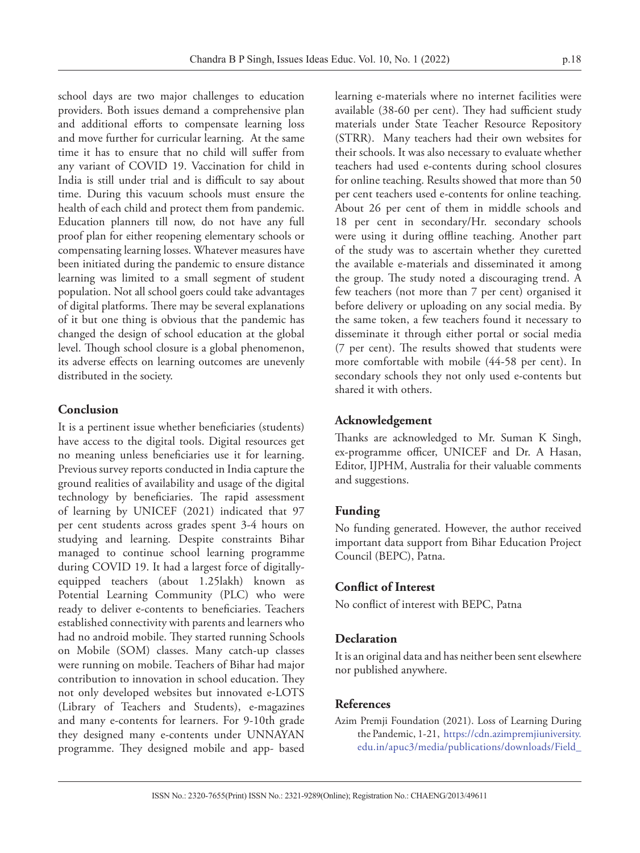school days are two major challenges to education providers. Both issues demand a comprehensive plan and additional efforts to compensate learning loss and move further for curricular learning. At the same time it has to ensure that no child will suffer from any variant of COVID 19. Vaccination for child in India is still under trial and is difficult to say about time. During this vacuum schools must ensure the health of each child and protect them from pandemic. Education planners till now, do not have any full proof plan for either reopening elementary schools or compensating learning losses. Whatever measures have been initiated during the pandemic to ensure distance learning was limited to a small segment of student population. Not all school goers could take advantages of digital platforms. There may be several explanations of it but one thing is obvious that the pandemic has changed the design of school education at the global level. Though school closure is a global phenomenon, its adverse effects on learning outcomes are unevenly distributed in the society.

### **Conclusion**

It is a pertinent issue whether beneficiaries (students) have access to the digital tools. Digital resources get no meaning unless beneficiaries use it for learning. Previous survey reports conducted in India capture the ground realities of availability and usage of the digital technology by beneficiaries. The rapid assessment of learning by UNICEF (2021) indicated that 97 per cent students across grades spent 3-4 hours on studying and learning. Despite constraints Bihar managed to continue school learning programme during COVID 19. It had a largest force of digitallyequipped teachers (about 1.25lakh) known as Potential Learning Community (PLC) who were ready to deliver e-contents to beneficiaries. Teachers established connectivity with parents and learners who had no android mobile. They started running Schools on Mobile (SOM) classes. Many catch-up classes were running on mobile. Teachers of Bihar had major contribution to innovation in school education. They not only developed websites but innovated e-LOTS (Library of Teachers and Students), e-magazines and many e-contents for learners. For 9-10th grade they designed many e-contents under UNNAYAN programme. They designed mobile and app- based

learning e-materials where no internet facilities were available (38-60 per cent). They had sufficient study materials under State Teacher Resource Repository (STRR). Many teachers had their own websites for their schools. It was also necessary to evaluate whether teachers had used e-contents during school closures for online teaching. Results showed that more than 50 per cent teachers used e-contents for online teaching. About 26 per cent of them in middle schools and 18 per cent in secondary/Hr. secondary schools were using it during offline teaching. Another part of the study was to ascertain whether they curetted the available e-materials and disseminated it among the group. The study noted a discouraging trend. A few teachers (not more than 7 per cent) organised it before delivery or uploading on any social media. By the same token, a few teachers found it necessary to disseminate it through either portal or social media (7 per cent). The results showed that students were more comfortable with mobile (44-58 per cent). In secondary schools they not only used e-contents but shared it with others.

### **Acknowledgement**

Thanks are acknowledged to Mr. Suman K Singh, ex-programme officer, UNICEF and Dr. A Hasan, Editor, IJPHM, Australia for their valuable comments and suggestions.

### **Funding**

No funding generated. However, the author received important data support from Bihar Education Project Council (BEPC), Patna.

### **Conflict of Interest**

No conflict of interest with BEPC, Patna

### **Declaration**

It is an original data and has neither been sent elsewhere nor published anywhere.

### **References**

Azim Premji Foundation (2021). Loss of Learning During the Pandemic, 1-21, [https://cdn.azimpremjiuniversity.](https://cdn.azimpremjiuniversity.edu.in/apuc3/media/publications/downloads/Field_Studies_Loss_of_Learning_during_the_Pandemic.f1622994202.pdf.) [edu.in/apuc3/media/publications/downloads/Field\\_](https://cdn.azimpremjiuniversity.edu.in/apuc3/media/publications/downloads/Field_Studies_Loss_of_Learning_during_the_Pandemic.f1622994202.pdf.)